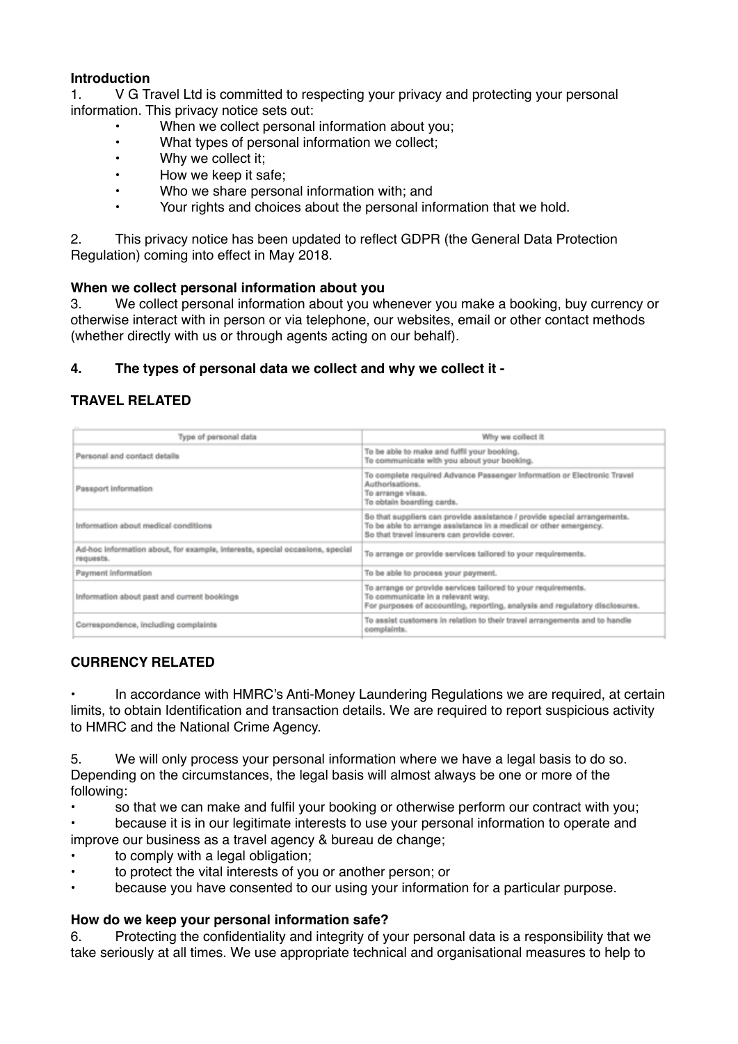## **Introduction**

1. V G Travel Ltd is committed to respecting your privacy and protecting your personal information. This privacy notice sets out:

- When we collect personal information about you;
- What types of personal information we collect;
- Why we collect it;
- How we keep it safe;
- Who we share personal information with; and
- Your rights and choices about the personal information that we hold.

2. This privacy notice has been updated to reflect GDPR (the General Data Protection Regulation) coming into effect in May 2018.

#### **When we collect personal information about you**

3. We collect personal information about you whenever you make a booking, buy currency or otherwise interact with in person or via telephone, our websites, email or other contact methods (whether directly with us or through agents acting on our behalf).

## **4. The types of personal data we collect and why we collect it -**

## **TRAVEL RELATED**

| Type of personal data                                                                     | Why we collect it                                                                                                                                                                           |
|-------------------------------------------------------------------------------------------|---------------------------------------------------------------------------------------------------------------------------------------------------------------------------------------------|
| Personal and contact details                                                              | To be able to make and fulfil your booking.<br>To communicate with you about your booking.                                                                                                  |
| Passport Information                                                                      | To complete required Advance Passenger Information or Electronic Travel<br>Authorisations.<br>To arrange visas.<br>To obtain boarding cards.                                                |
| Information about medical conditions                                                      | So that suppliers can provide assistance / provide special arrangements.<br>To be able to arrange assistance in a medical or other emergency.<br>So that travel insurers can provide cover. |
| Ad-hoc information about, for example, interests, special occasions, special<br>requests. | To arrange or provide services tailored to your requirements.                                                                                                                               |
| Payment information                                                                       | To be able to process your payment.                                                                                                                                                         |
| Information about past and current bookings                                               | To arrange or provide services tailored to your requirements.<br>To communicate in a relevant way.<br>For purposes of accounting, reporting, analysis and regulatory disclosures.           |
| Correspondence, including complaints                                                      | To assist customers in relation to their travel arrangements and to handle<br>complaints.                                                                                                   |

## **CURRENCY RELATED**

In accordance with HMRC's Anti-Money Laundering Regulations we are required, at certain limits, to obtain Identification and transaction details. We are required to report suspicious activity to HMRC and the National Crime Agency.

5. We will only process your personal information where we have a legal basis to do so. Depending on the circumstances, the legal basis will almost always be one or more of the following:

• so that we can make and fulfil your booking or otherwise perform our contract with you; • because it is in our legitimate interests to use your personal information to operate and

improve our business as a travel agency & bureau de change;

- to comply with a legal obligation;
- to protect the vital interests of you or another person; or
- because you have consented to our using your information for a particular purpose.

#### **How do we keep your personal information safe?**

6. Protecting the confidentiality and integrity of your personal data is a responsibility that we take seriously at all times. We use appropriate technical and organisational measures to help to